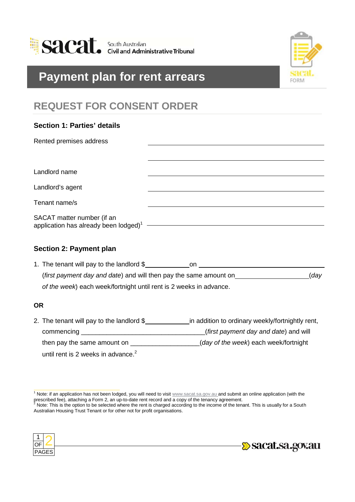

# **Payment plan for rent arrears**



## **REQUEST FOR CONSENT ORDER**

| <b>Section 1: Parties' details</b>                                                        |     |
|-------------------------------------------------------------------------------------------|-----|
| Rented premises address                                                                   |     |
|                                                                                           |     |
| Landlord name                                                                             |     |
| Landlord's agent                                                                          |     |
| Tenant name/s                                                                             |     |
| SACAT matter number (if an<br>application has already been $\text{lodged}^1$ $\text{---}$ |     |
| <b>Section 2: Payment plan</b>                                                            |     |
| 1. The tenant will pay to the landlord \$                                                 | on. |

| (first payment day and date) and will then pay the same amount on  | (day |
|--------------------------------------------------------------------|------|
| of the week) each week/fortnight until rent is 2 weeks in advance. |      |

### **OR**

2. The tenant will pay to the landlord \$\_\_\_\_\_\_\_\_\_\_\_\_\_\_\_\_in addition to ordinary weekly/fortnightly rent, commencing \_\_\_\_\_\_\_\_\_\_\_\_\_\_\_\_\_\_\_\_\_\_\_\_\_\_\_\_\_\_\_\_\_\_(*first payment day and date*) and will then pay the same amount on  $(day of the week)$  each week/fortnight until rent is 2 weeks in advance. $2$ 

<sup>2</sup> Note: This is the option to be selected where the rent is charged according to the income of the tenant. This is usually for a South Australian Housing Trust Tenant or for other not for profit organisations.





 $1$  Note: if an application has not been lodged, you will need to visit  $www.sacat.sa.gov.au$  and submit an online application (with the prescribed fee), attaching a Form 2, an up-to-date rent record and a copy of the tenancy agreement.